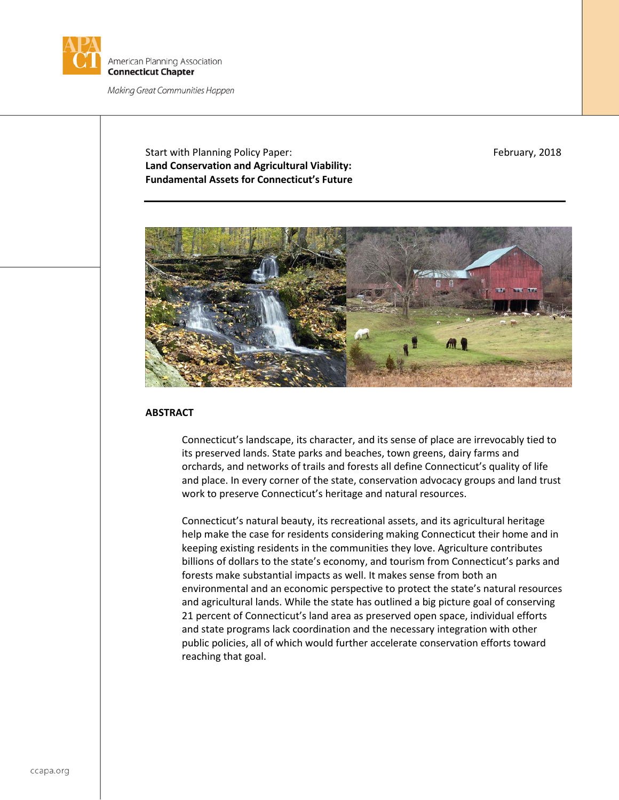

Start with Planning Policy Paper: February, 2018 **Land Conservation and Agricultural Viability: Fundamental Assets for Connecticut's Future**



# **ABSTRACT**

Connecticut's landscape, its character, and its sense of place are irrevocably tied to its preserved lands. State parks and beaches, town greens, dairy farms and orchards, and networks of trails and forests all define Connecticut's quality of life and place. In every corner of the state, conservation advocacy groups and land trust work to preserve Connecticut's heritage and natural resources.

Connecticut's natural beauty, its recreational assets, and its agricultural heritage help make the case for residents considering making Connecticut their home and in keeping existing residents in the communities they love. Agriculture contributes billions of dollars to the state's economy, and tourism from Connecticut's parks and forests make substantial impacts as well. It makes sense from both an environmental and an economic perspective to protect the state's natural resources and agricultural lands. While the state has outlined a big picture goal of conserving 21 percent of Connecticut's land area as preserved open space, individual efforts and state programs lack coordination and the necessary integration with other public policies, all of which would further accelerate conservation efforts toward reaching that goal.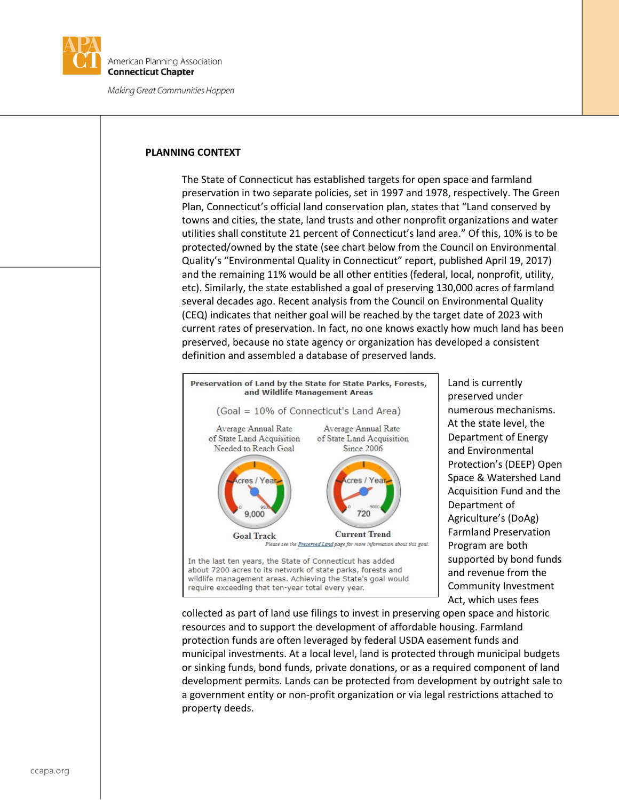

### **PLANNING CONTEXT**

The State of Connecticut has established targets for open space and farmland preservation in two separate policies, set in 1997 and 1978, respectively. The Green Plan, Connecticut's official land conservation plan, states that "Land conserved by towns and cities, the state, land trusts and other nonprofit organizations and water utilities shall constitute 21 percent of Connecticut's land area." Of this, 10% is to be protected/owned by the state (see chart below from the Council on Environmental Quality's "Environmental Quality in Connecticut" report, published April 19, 2017) and the remaining 11% would be all other entities (federal, local, nonprofit, utility, etc). Similarly, the state established a goal of preserving 130,000 acres of farmland several decades ago. Recent analysis from the Council on Environmental Quality (CEQ) indicates that neither goal will be reached by the target date of 2023 with current rates of preservation. In fact, no one knows exactly how much land has been preserved, because no state agency or organization has developed a consistent definition and assembled a database of preserved lands.



Land is currently preserved under numerous mechanisms. At the state level, the Department of Energy and Environmental Protection's (DEEP) Open Space & Watershed Land Acquisition Fund and the Department of Agriculture's (DoAg) Farmland Preservation Program are both supported by bond funds and revenue from the Community Investment Act, which uses fees

collected as part of land use filings to invest in preserving open space and historic resources and to support the development of affordable housing. Farmland protection funds are often leveraged by federal USDA easement funds and municipal investments. At a local level, land is protected through municipal budgets or sinking funds, bond funds, private donations, or as a required component of land development permits. Lands can be protected from development by outright sale to a government entity or non-profit organization or via legal restrictions attached to property deeds.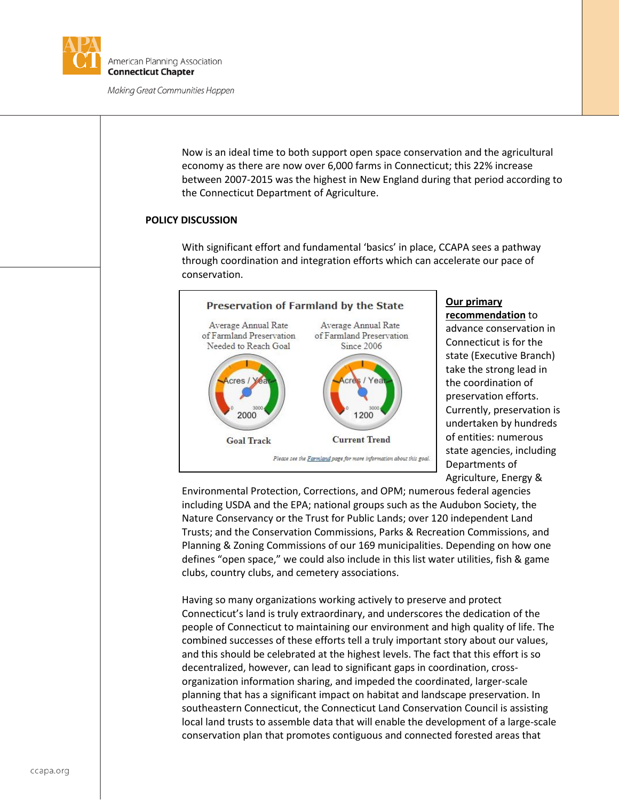

Now is an ideal time to both support open space conservation and the agricultural economy as there are now over 6,000 farms in Connecticut; this 22% increase between 2007-2015 was the highest in New England during that period according to the Connecticut Department of Agriculture.

## **POLICY DISCUSSION**

With significant effort and fundamental 'basics' in place, CCAPA sees a pathway through coordination and integration efforts which can accelerate our pace of conservation.



#### **Our primary recommendation** to

advance conservation in Connecticut is for the state (Executive Branch) take the strong lead in the coordination of preservation efforts. Currently, preservation is undertaken by hundreds of entities: numerous state agencies, including Departments of Agriculture, Energy &

Environmental Protection, Corrections, and OPM; numerous federal agencies including USDA and the EPA; national groups such as the Audubon Society, the Nature Conservancy or the Trust for Public Lands; over 120 independent Land Trusts; and the Conservation Commissions, Parks & Recreation Commissions, and Planning & Zoning Commissions of our 169 municipalities. Depending on how one defines "open space," we could also include in this list water utilities, fish & game clubs, country clubs, and cemetery associations.

Having so many organizations working actively to preserve and protect Connecticut's land is truly extraordinary, and underscores the dedication of the people of Connecticut to maintaining our environment and high quality of life. The combined successes of these efforts tell a truly important story about our values, and this should be celebrated at the highest levels. The fact that this effort is so decentralized, however, can lead to significant gaps in coordination, crossorganization information sharing, and impeded the coordinated, larger-scale planning that has a significant impact on habitat and landscape preservation. In southeastern Connecticut, the Connecticut Land Conservation Council is assisting local land trusts to assemble data that will enable the development of a large-scale conservation plan that promotes contiguous and connected forested areas that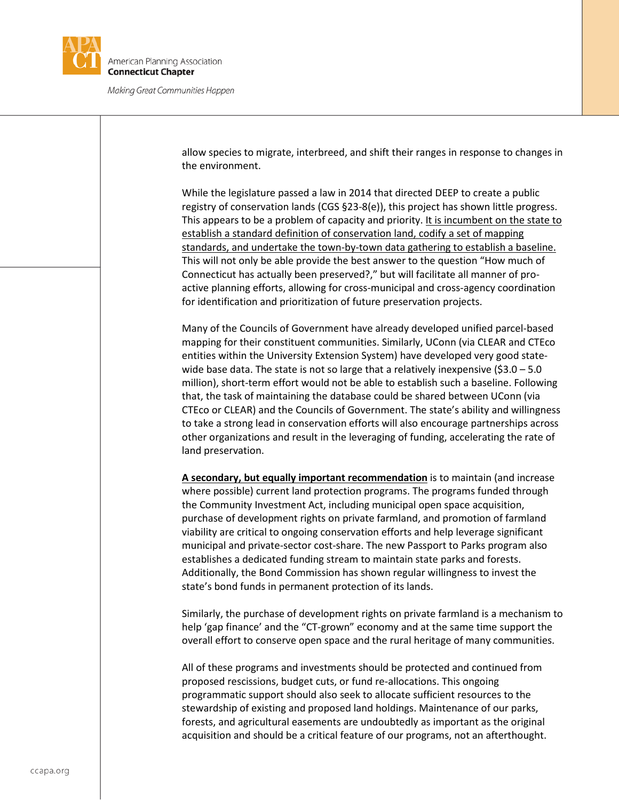

allow species to migrate, interbreed, and shift their ranges in response to changes in the environment.

While the legislature passed a law in 2014 that directed DEEP to create a public registry of conservation lands (CGS §23-8(e)), this project has shown little progress. This appears to be a problem of capacity and priority. It is incumbent on the state to establish a standard definition of conservation land, codify a set of mapping standards, and undertake the town-by-town data gathering to establish a baseline. This will not only be able provide the best answer to the question "How much of Connecticut has actually been preserved?," but will facilitate all manner of proactive planning efforts, allowing for cross-municipal and cross-agency coordination for identification and prioritization of future preservation projects.

Many of the Councils of Government have already developed unified parcel-based mapping for their constituent communities. Similarly, UConn (via CLEAR and CTEco entities within the University Extension System) have developed very good statewide base data. The state is not so large that a relatively inexpensive  $(53.0 - 5.0)$ million), short-term effort would not be able to establish such a baseline. Following that, the task of maintaining the database could be shared between UConn (via CTEco or CLEAR) and the Councils of Government. The state's ability and willingness to take a strong lead in conservation efforts will also encourage partnerships across other organizations and result in the leveraging of funding, accelerating the rate of land preservation.

**A secondary, but equally important recommendation** is to maintain (and increase where possible) current land protection programs. The programs funded through the Community Investment Act, including municipal open space acquisition, purchase of development rights on private farmland, and promotion of farmland viability are critical to ongoing conservation efforts and help leverage significant municipal and private-sector cost-share. The new Passport to Parks program also establishes a dedicated funding stream to maintain state parks and forests. Additionally, the Bond Commission has shown regular willingness to invest the state's bond funds in permanent protection of its lands.

Similarly, the purchase of development rights on private farmland is a mechanism to help 'gap finance' and the "CT-grown" economy and at the same time support the overall effort to conserve open space and the rural heritage of many communities.

All of these programs and investments should be protected and continued from proposed rescissions, budget cuts, or fund re-allocations. This ongoing programmatic support should also seek to allocate sufficient resources to the stewardship of existing and proposed land holdings. Maintenance of our parks, forests, and agricultural easements are undoubtedly as important as the original acquisition and should be a critical feature of our programs, not an afterthought.